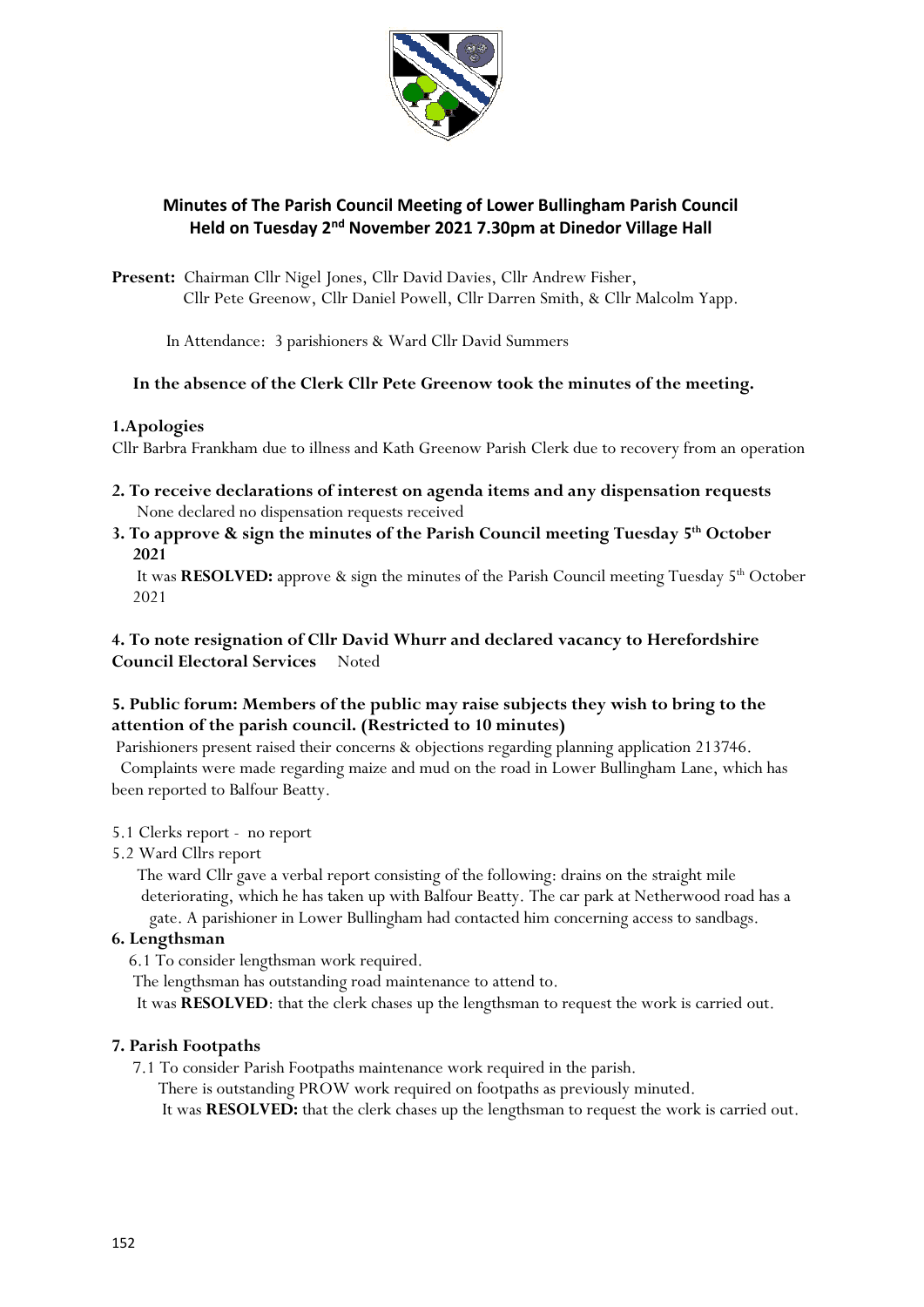

# **Minutes of The Parish Council Meeting of Lower Bullingham Parish Council Held on Tuesday 2<sup>nd</sup> November 2021 7.30pm at Dinedor Village Hall**

**Present:** Chairman Cllr Nigel Jones, Cllr David Davies, Cllr Andrew Fisher, Cllr Pete Greenow, Cllr Daniel Powell, Cllr Darren Smith, & Cllr Malcolm Yapp.

In Attendance: 3 parishioners & Ward Cllr David Summers

# **In the absence of the Clerk Cllr Pete Greenow took the minutes of the meeting.**

# **1.Apologies**

Cllr Barbra Frankham due to illness and Kath Greenow Parish Clerk due to recovery from an operation

- **2. To receive declarations of interest on agenda items and any dispensation requests** None declared no dispensation requests received
- **3. To approve & sign the minutes of the Parish Council meeting Tuesday 5 th October 2021**

It was **RESOLVED:** approve & sign the minutes of the Parish Council meeting Tuesday 5<sup>th</sup> October 2021

# **4. To note resignation of Cllr David Whurr and declared vacancy to Herefordshire Council Electoral Services** Noted

# **5. Public forum: Members of the public may raise subjects they wish to bring to the attention of the parish council. (Restricted to 10 minutes)**

Parishioners present raised their concerns & objections regarding planning application 213746.

 Complaints were made regarding maize and mud on the road in Lower Bullingham Lane, which has been reported to Balfour Beatty.

# 5.1 Clerks report - no report

5.2 Ward Cllrs report

 The ward Cllr gave a verbal report consisting of the following: drains on the straight mile deteriorating, which he has taken up with Balfour Beatty. The car park at Netherwood road has a gate. A parishioner in Lower Bullingham had contacted him concerning access to sandbags.

# **6. Lengthsman**

6.1 To consider lengthsman work required.

The lengthsman has outstanding road maintenance to attend to.

It was **RESOLVED**: that the clerk chases up the lengthsman to request the work is carried out.

# **7. Parish Footpaths**

7.1 To consider Parish Footpaths maintenance work required in the parish.

There is outstanding PROW work required on footpaths as previously minuted.

It was **RESOLVED:** that the clerk chases up the lengthsman to request the work is carried out.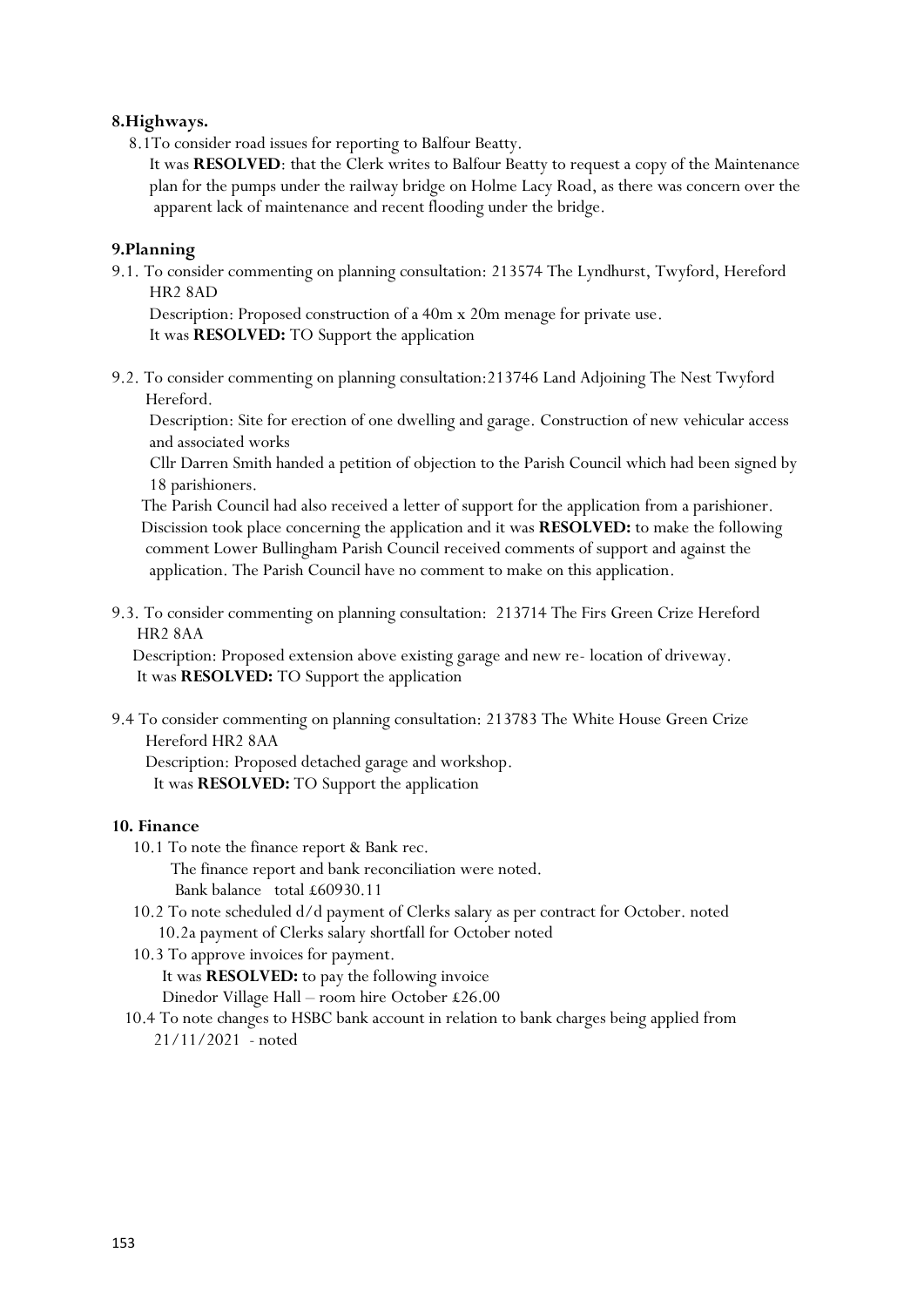#### **8.Highways.**

8.1To consider road issues for reporting to Balfour Beatty.

 It was **RESOLVED**: that the Clerk writes to Balfour Beatty to request a copy of the Maintenance plan for the pumps under the railway bridge on Holme Lacy Road, as there was concern over the apparent lack of maintenance and recent flooding under the bridge.

#### **9.Planning**

9.1. To consider commenting on planning consultation: 213574 The Lyndhurst, Twyford, Hereford HR2 8AD

 Description: Proposed construction of a 40m x 20m menage for private use. It was **RESOLVED:** TO Support the application

9.2. To consider commenting on planning consultation:213746 Land Adjoining The Nest Twyford Hereford.

 Description: Site for erection of one dwelling and garage. Construction of new vehicular access and associated works

 Cllr Darren Smith handed a petition of objection to the Parish Council which had been signed by 18 parishioners.

 The Parish Council had also received a letter of support for the application from a parishioner. Discission took place concerning the application and it was **RESOLVED:** to make the following comment Lower Bullingham Parish Council received comments of support and against the application. The Parish Council have no comment to make on this application.

9.3. To consider commenting on planning consultation: 213714 The Firs Green Crize Hereford HR2 8AA

 Description: Proposed extension above existing garage and new re- location of driveway. It was **RESOLVED:** TO Support the application

9.4 To consider commenting on planning consultation: 213783 The White House Green Crize Hereford HR2 8AA

 Description: Proposed detached garage and workshop. It was **RESOLVED:** TO Support the application

#### **10. Finance**

10.1 To note the finance report & Bank rec.

 The finance report and bank reconciliation were noted. Bank balance total £60930.11

- 10.2 To note scheduled d/d payment of Clerks salary as per contract for October. noted 10.2a payment of Clerks salary shortfall for October noted
- 10.3 To approve invoices for payment. It was **RESOLVED:** to pay the following invoice Dinedor Village Hall – room hire October £26.00
- 10.4 To note changes to HSBC bank account in relation to bank charges being applied from 21/11/2021 - noted